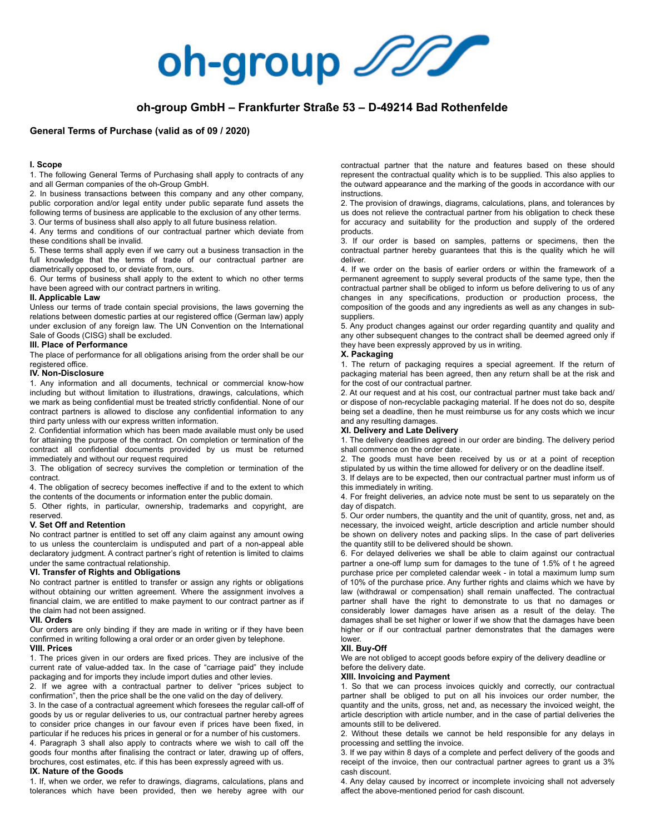

# **oh-group GmbH – Frankfurter Straße 53 – D-49214 Bad Rothenfelde**

### **General Terms of Purchase (valid as of 09 / 2020)**

#### **I. Scope**

1. The following General Terms of Purchasing shall apply to contracts of any and all German companies of the oh-Group GmbH.

2. In business transactions between this company and any other company, public corporation and/or legal entity under public separate fund assets the following terms of business are applicable to the exclusion of any other terms. 3. Our terms of business shall also apply to all future business relation.

4. Any terms and conditions of our contractual partner which deviate from these conditions shall be invalid.

5. These terms shall apply even if we carry out a business transaction in the full knowledge that the terms of trade of our contractual partner are diametrically opposed to, or deviate from, ours.

6. Our terms of business shall apply to the extent to which no other terms have been agreed with our contract partners in writing.

### **II. Applicable Law**

Unless our terms of trade contain special provisions, the laws governing the relations between domestic parties at our registered office (German law) apply under exclusion of any foreign law. The UN Convention on the International Sale of Goods (CISG) shall be excluded.

#### **III. Place of Performance**

The place of performance for all obligations arising from the order shall be our registered office.

### **IV. Non-Disclosure**

1. Any information and all documents, technical or commercial know-how including but without limitation to illustrations, drawings, calculations, which we mark as being confidential must be treated strictly confidential. None of our contract partners is allowed to disclose any confidential information to any third party unless with our express written information.

2. Confidential information which has been made available must only be used for attaining the purpose of the contract. On completion or termination of the contract all confidential documents provided by us must be returned immediately and without our request required

3. The obligation of secrecy survives the completion or termination of the contract.

4. The obligation of secrecy becomes ineffective if and to the extent to which the contents of the documents or information enter the public domain.

5. Other rights, in particular, ownership, trademarks and copyright, are reserved.

### **V. Set Off and Retention**

No contract partner is entitled to set off any claim against any amount owing to us unless the counterclaim is undisputed and part of a non-appeal able declaratory judgment. A contract partner's right of retention is limited to claims under the same contractual relationship.

### **VI. Transfer of Rights and Obligations**

No contract partner is entitled to transfer or assign any rights or obligations without obtaining our written agreement. Where the assignment involves a financial claim, we are entitled to make payment to our contract partner as if the claim had not been assigned.

### **VII. Orders**

Our orders are only binding if they are made in writing or if they have been confirmed in writing following a oral order or an order given by telephone.

## **VIII. Prices**

1. The prices given in our orders are fixed prices. They are inclusive of the current rate of value-added tax. In the case of "carriage paid" they include packaging and for imports they include import duties and other levies.

2. If we agree with a contractual partner to deliver "prices subject to confirmation", then the price shall be the one valid on the day of delivery.

3. In the case of a contractual agreement which foresees the regular call-off of goods by us or regular deliveries to us, our contractual partner hereby agrees to consider price changes in our favour even if prices have been fixed, in particular if he reduces his prices in general or for a number of his customers.

4. Paragraph 3 shall also apply to contracts where we wish to call off the goods four months after finalising the contract or later, drawing up of offers, brochures, cost estimates, etc. if this has been expressly agreed with us.

#### **IX. Nature of the Goods**

1. If, when we order, we refer to drawings, diagrams, calculations, plans and tolerances which have been provided, then we hereby agree with our contractual partner that the nature and features based on these should represent the contractual quality which is to be supplied. This also applies to the outward appearance and the marking of the goods in accordance with our instructions.

2. The provision of drawings, diagrams, calculations, plans, and tolerances by us does not relieve the contractual partner from his obligation to check these for accuracy and suitability for the production and supply of the ordered products.

3. If our order is based on samples, patterns or specimens, then the contractual partner hereby guarantees that this is the quality which he will deliver.

4. If we order on the basis of earlier orders or within the framework of a permanent agreement to supply several products of the same type, then the contractual partner shall be obliged to inform us before delivering to us of any changes in any specifications, production or production process, the composition of the goods and any ingredients as well as any changes in subsuppliers.

5. Any product changes against our order regarding quantity and quality and any other subsequent changes to the contract shall be deemed agreed only if they have been expressly approved by us in writing.

### **X. Packaging**

1. The return of packaging requires a special agreement. If the return of packaging material has been agreed, then any return shall be at the risk and for the cost of our contractual partner.

2. At our request and at his cost, our contractual partner must take back and/ or dispose of non-recyclable packaging material. If he does not do so, despite being set a deadline, then he must reimburse us for any costs which we incur and any resulting damages.

#### **XI. Delivery and Late Delivery**

1. The delivery deadlines agreed in our order are binding. The delivery period shall commence on the order date.

2. The goods must have been received by us or at a point of reception stipulated by us within the time allowed for delivery or on the deadline itself.

3. If delays are to be expected, then our contractual partner must inform us of this immediately in writing.

4. For freight deliveries, an advice note must be sent to us separately on the day of dispatch.

5. Our order numbers, the quantity and the unit of quantity, gross, net and, as necessary, the invoiced weight, article description and article number should be shown on delivery notes and packing slips. In the case of part deliveries the quantity still to be delivered should be shown.

6. For delayed deliveries we shall be able to claim against our contractual partner a one-off lump sum for damages to the tune of 1.5% of t he agreed purchase price per completed calendar week - in total a maximum lump sum of 10% of the purchase price. Any further rights and claims which we have by law (withdrawal or compensation) shall remain unaffected. The contractual partner shall have the right to demonstrate to us that no damages or considerably lower damages have arisen as a result of the delay. The damages shall be set higher or lower if we show that the damages have been higher or if our contractual partner demonstrates that the damages were lower.

### **XII. Buy-Off**

We are not obliged to accept goods before expiry of the delivery deadline or before the delivery date.

### **XIII. Invoicing and Payment**

1. So that we can process invoices quickly and correctly, our contractual partner shall be obliged to put on all his invoices our order number, the quantity and the units, gross, net and, as necessary the invoiced weight, the article description with article number, and in the case of partial deliveries the amounts still to be delivered.

2. Without these details we cannot be held responsible for any delays in processing and settling the invoice.

3. If we pay within 8 days of a complete and perfect delivery of the goods and receipt of the invoice, then our contractual partner agrees to grant us a 3% cash discount.

4. Any delay caused by incorrect or incomplete invoicing shall not adversely affect the above-mentioned period for cash discount.